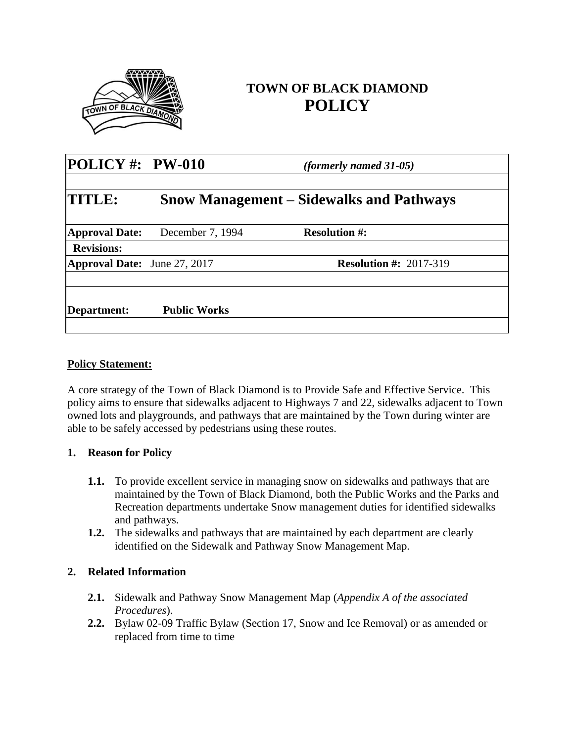

# **TOWN OF BLACK DIAMOND POLICY**

| POLICY #: $PW-010$                  |                                                 | <i>(formerly named 31-05)</i> |  |  |
|-------------------------------------|-------------------------------------------------|-------------------------------|--|--|
| <b>TITLE:</b>                       | <b>Snow Management – Sidewalks and Pathways</b> |                               |  |  |
| <b>Approval Date:</b>               | December 7, 1994                                | <b>Resolution #:</b>          |  |  |
| <b>Revisions:</b>                   |                                                 |                               |  |  |
| <b>Approval Date:</b> June 27, 2017 |                                                 | <b>Resolution #: 2017-319</b> |  |  |
|                                     | <b>Public Works</b>                             |                               |  |  |
| Department:                         |                                                 |                               |  |  |

### **Policy Statement:**

A core strategy of the Town of Black Diamond is to Provide Safe and Effective Service. This policy aims to ensure that sidewalks adjacent to Highways 7 and 22, sidewalks adjacent to Town owned lots and playgrounds, and pathways that are maintained by the Town during winter are able to be safely accessed by pedestrians using these routes.

### **1. Reason for Policy**

- **1.1.** To provide excellent service in managing snow on sidewalks and pathways that are maintained by the Town of Black Diamond, both the Public Works and the Parks and Recreation departments undertake Snow management duties for identified sidewalks and pathways.
- **1.2.** The sidewalks and pathways that are maintained by each department are clearly identified on the Sidewalk and Pathway Snow Management Map.

### **2. Related Information**

- **2.1.** Sidewalk and Pathway Snow Management Map (*Appendix A of the associated Procedures*).
- **2.2.** Bylaw 02-09 Traffic Bylaw (Section 17, Snow and Ice Removal) or as amended or replaced from time to time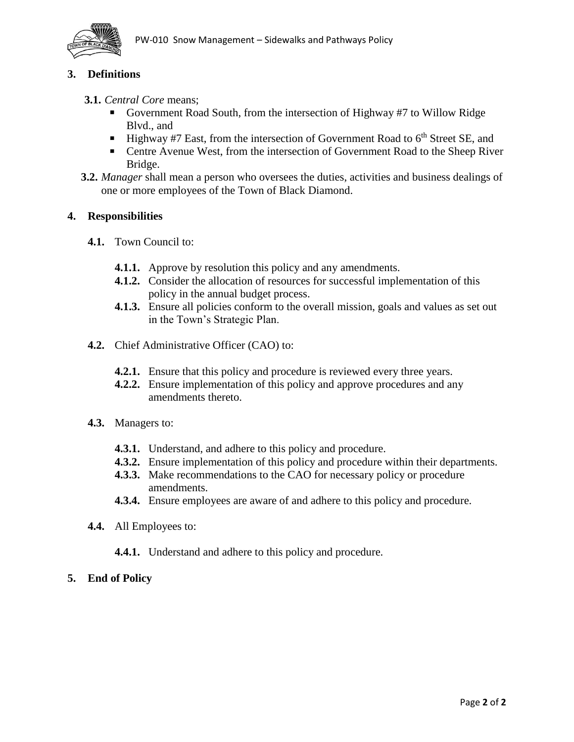

## **3. Definitions**

### **3.1.** *Central Core* means;

- Government Road South, from the intersection of Highway #7 to Willow Ridge Blvd., and
- **Highway #7 East, from the intersection of Government Road to**  $6<sup>th</sup>$  **Street SE, and**
- Centre Avenue West, from the intersection of Government Road to the Sheep River Bridge.
- **3.2.** *Manager* shall mean a person who oversees the duties, activities and business dealings of one or more employees of the Town of Black Diamond.

### **4. Responsibilities**

- **4.1.** Town Council to:
	- **4.1.1.** Approve by resolution this policy and any amendments.
	- **4.1.2.** Consider the allocation of resources for successful implementation of this policy in the annual budget process.
	- **4.1.3.** Ensure all policies conform to the overall mission, goals and values as set out in the Town's Strategic Plan.
- **4.2.** Chief Administrative Officer (CAO) to:
	- **4.2.1.** Ensure that this policy and procedure is reviewed every three years.
	- **4.2.2.** Ensure implementation of this policy and approve procedures and any amendments thereto.
- **4.3.** Managers to:
	- **4.3.1.** Understand, and adhere to this policy and procedure.
	- **4.3.2.** Ensure implementation of this policy and procedure within their departments.
	- **4.3.3.** Make recommendations to the CAO for necessary policy or procedure amendments.
	- **4.3.4.** Ensure employees are aware of and adhere to this policy and procedure.
- **4.4.** All Employees to:
	- **4.4.1.** Understand and adhere to this policy and procedure.
- **5. End of Policy**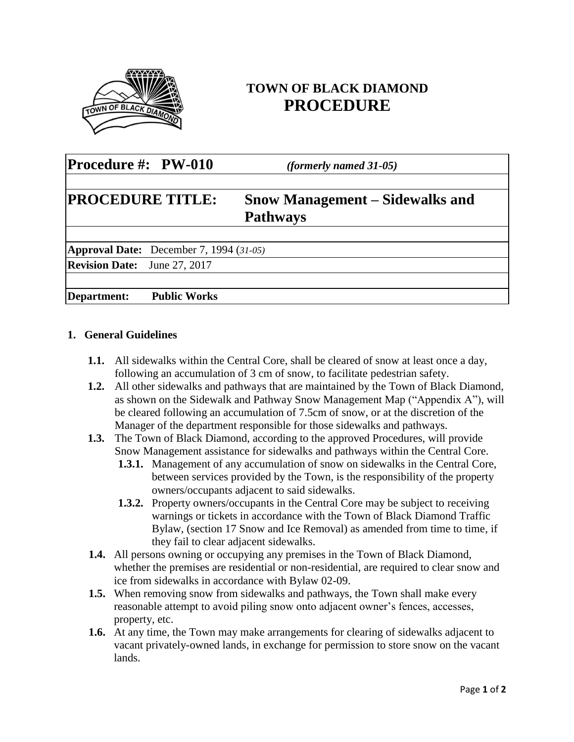

# **TOWN OF BLACK DIAMOND PROCEDURE**

| Procedure #: PW-010                              | <i>(formerly named 31-05)</i>                             |  |
|--------------------------------------------------|-----------------------------------------------------------|--|
| <b>PROCEDURE TITLE:</b>                          | <b>Snow Management – Sidewalks and</b><br><b>Pathways</b> |  |
| <b>Approval Date:</b> December 7, 1994 $(31-05)$ |                                                           |  |
| <b>Revision Date:</b> June 27, 2017              |                                                           |  |
| <b>Public Works</b><br>Department:               |                                                           |  |

### **1. General Guidelines**

- **1.1.** All sidewalks within the Central Core, shall be cleared of snow at least once a day, following an accumulation of 3 cm of snow, to facilitate pedestrian safety.
- **1.2.** All other sidewalks and pathways that are maintained by the Town of Black Diamond, as shown on the Sidewalk and Pathway Snow Management Map ("Appendix A"), will be cleared following an accumulation of 7.5cm of snow, or at the discretion of the Manager of the department responsible for those sidewalks and pathways.
- **1.3.** The Town of Black Diamond, according to the approved Procedures, will provide Snow Management assistance for sidewalks and pathways within the Central Core.
	- **1.3.1.** Management of any accumulation of snow on sidewalks in the Central Core, between services provided by the Town, is the responsibility of the property owners/occupants adjacent to said sidewalks.
	- **1.3.2.** Property owners/occupants in the Central Core may be subject to receiving warnings or tickets in accordance with the Town of Black Diamond Traffic Bylaw, (section 17 Snow and Ice Removal) as amended from time to time, if they fail to clear adjacent sidewalks.
- **1.4.** All persons owning or occupying any premises in the Town of Black Diamond, whether the premises are residential or non-residential, are required to clear snow and ice from sidewalks in accordance with Bylaw 02-09.
- **1.5.** When removing snow from sidewalks and pathways, the Town shall make every reasonable attempt to avoid piling snow onto adjacent owner's fences, accesses, property, etc.
- **1.6.** At any time, the Town may make arrangements for clearing of sidewalks adjacent to vacant privately-owned lands, in exchange for permission to store snow on the vacant lands.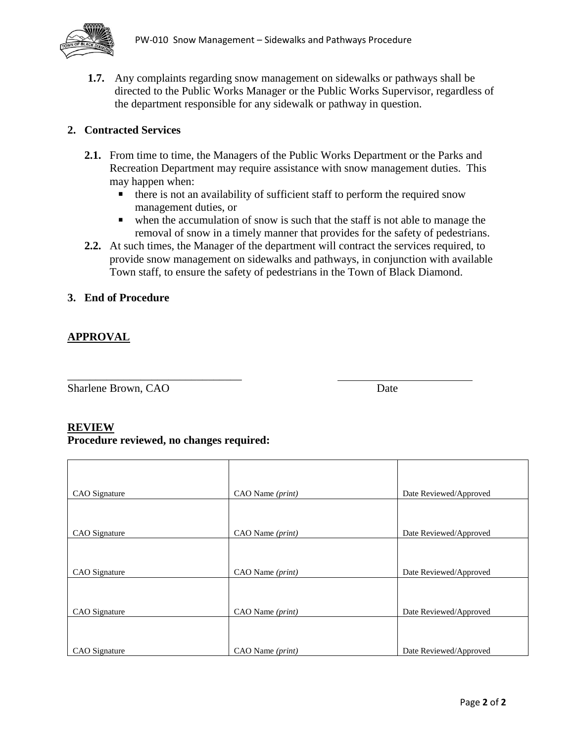

**1.7.** Any complaints regarding snow management on sidewalks or pathways shall be directed to the Public Works Manager or the Public Works Supervisor, regardless of the department responsible for any sidewalk or pathway in question.

### **2. Contracted Services**

- **2.1.** From time to time, the Managers of the Public Works Department or the Parks and Recreation Department may require assistance with snow management duties. This may happen when:
	- there is not an availability of sufficient staff to perform the required snow management duties, or
	- when the accumulation of snow is such that the staff is not able to manage the removal of snow in a timely manner that provides for the safety of pedestrians.
- **2.2.** At such times, the Manager of the department will contract the services required, to provide snow management on sidewalks and pathways, in conjunction with available Town staff, to ensure the safety of pedestrians in the Town of Black Diamond.

#### **3. End of Procedure**

### **APPROVAL**

Sharlene Brown, CAO Date

#### **REVIEW**

**Procedure reviewed, no changes required:**

\_\_\_\_\_\_\_\_\_\_\_\_\_\_\_\_\_\_\_\_\_\_\_\_\_\_\_\_\_\_\_

| CAO Signature | CAO Name (print) | Date Reviewed/Approved |
|---------------|------------------|------------------------|
|               |                  |                        |
| CAO Signature | CAO Name (print) | Date Reviewed/Approved |
|               |                  |                        |
| CAO Signature | CAO Name (print) | Date Reviewed/Approved |
|               |                  |                        |
| CAO Signature | CAO Name (print) | Date Reviewed/Approved |
|               |                  |                        |
| CAO Signature | CAO Name (print) | Date Reviewed/Approved |